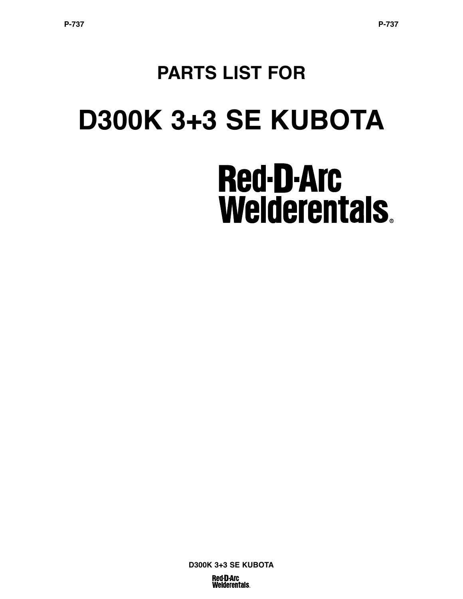# **PARTS LIST FOR D300K 3+3 SE KUBOTA Red-D-Arc Welderentals.**

**D300K 3+3 SE KUBOTA Red D Arc Welderentals.**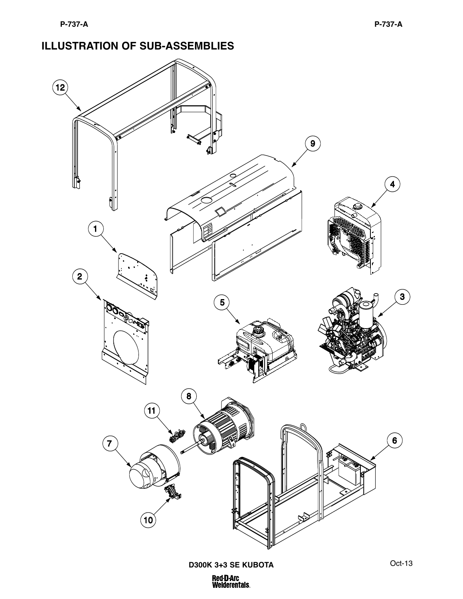#### **ILLUSTRATION OF SUB-ASSEMBLIES**

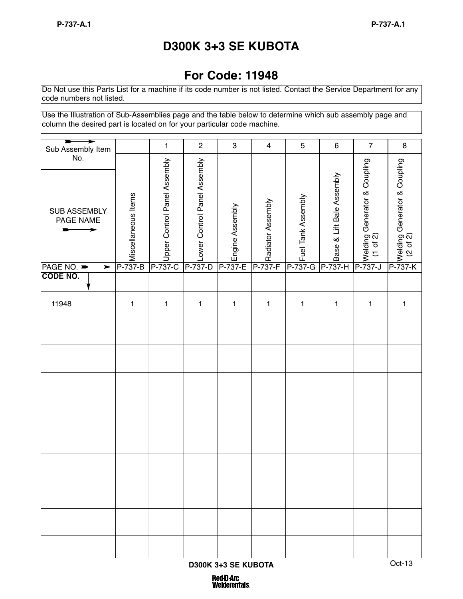# **D300K 3+3 SE KUBOTA**

## **For Code: 11948**

Do Not use this Parts List for a machine if its code number is not listed. Contact the Service Department for any code numbers not listed.

Use the Illustration of Sub-Assemblies page and the table below to determine which sub assembly page and column the desired part is located on for your particular code machine.

| Sub Assembly Item                |                                | 1                                            | $\mathbf 2$            | $\ensuremath{\mathsf{3}}$     | $\overline{4}$ | $\mathbf 5$        | $\,6\,$                                                      | $\overline{7}$                                          | $\bf 8$                                         |
|----------------------------------|--------------------------------|----------------------------------------------|------------------------|-------------------------------|----------------|--------------------|--------------------------------------------------------------|---------------------------------------------------------|-------------------------------------------------|
| No.<br>SUB ASSEMBLY<br>PAGE NAME | Miscellaneous Items<br>P-737-B | P<br> <br> <br> Control Panel Assembly<br> C | P-737-D<br>D<br>D<br>D | P-737-E<br>P-737-E<br>P-737-E |                | Fuel Tank Assembly | To Sase & Lift Bale Assembly<br>To Sase & Lift Bale Assembly | न्।<br>अर्थाश्रालालु Generator & Coupling<br>८ (1 of 2) | 구<br>상에비ng Generator & Coupling<br>- X (2 of 2) |
| PAGE NO.<br>➤                    |                                |                                              |                        |                               |                | P-737-G            |                                                              |                                                         |                                                 |
| <b>CODE NO.</b>                  |                                |                                              |                        |                               |                |                    |                                                              |                                                         |                                                 |
| 11948                            | $\mathbf{1}$                   | $\mathbf{1}$                                 | 1                      | $\mathbf{1}$                  | $\mathbf{1}$   | $\mathbf{1}$       | 1                                                            | 1                                                       | 1                                               |
|                                  |                                |                                              |                        |                               |                |                    |                                                              |                                                         |                                                 |
|                                  |                                |                                              |                        |                               |                |                    |                                                              |                                                         |                                                 |
|                                  |                                |                                              |                        |                               |                |                    |                                                              |                                                         |                                                 |
|                                  |                                |                                              |                        |                               |                |                    |                                                              |                                                         |                                                 |
|                                  |                                |                                              |                        |                               |                |                    |                                                              |                                                         |                                                 |
|                                  |                                |                                              |                        |                               |                |                    |                                                              |                                                         |                                                 |
|                                  |                                |                                              |                        |                               |                |                    |                                                              |                                                         |                                                 |
|                                  |                                |                                              |                        |                               |                |                    |                                                              |                                                         |                                                 |
|                                  |                                |                                              |                        |                               |                |                    |                                                              |                                                         |                                                 |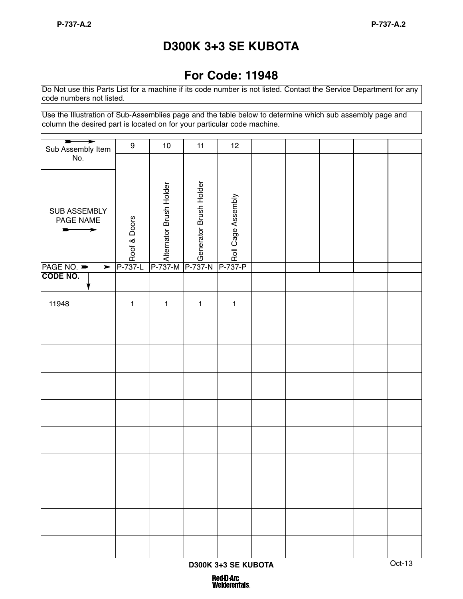# **D300K 3+3 SE KUBOTA**

## **For Code: 11948**

Do Not use this Parts List for a machine if its code number is not listed. Contact the Service Department for any code numbers not listed.

Use the Illustration of Sub-Assemblies page and the table below to determine which sub assembly page and column the desired part is located on for your particular code machine.

| ⋗<br>Sub Assembly Item         | 9                  | 10                                                                                     | 11           | 12                 |  |  |  |
|--------------------------------|--------------------|----------------------------------------------------------------------------------------|--------------|--------------------|--|--|--|
| No.                            |                    |                                                                                        |              |                    |  |  |  |
| SUB ASSEMBLY<br>PAGE NAME<br>➤ | P-737-L<br>P-737-L | Romator Brush Holder<br>P-737-M<br>P-737-M<br>P-737-M<br>P-737-M<br>P-737-M<br>P-737-M |              | P-737-P<br>P-737-P |  |  |  |
| PAGE NO.<br>$\rightarrow$      |                    |                                                                                        |              |                    |  |  |  |
| <b>CODE NO.</b>                |                    |                                                                                        |              |                    |  |  |  |
| 11948                          | $\mathbf{1}$       | $\mathbf{1}$                                                                           | $\mathbf{1}$ | $\mathbf{1}$       |  |  |  |
|                                |                    |                                                                                        |              |                    |  |  |  |
|                                |                    |                                                                                        |              |                    |  |  |  |
|                                |                    |                                                                                        |              |                    |  |  |  |
|                                |                    |                                                                                        |              |                    |  |  |  |
|                                |                    |                                                                                        |              |                    |  |  |  |
|                                |                    |                                                                                        |              |                    |  |  |  |
|                                |                    |                                                                                        |              |                    |  |  |  |
|                                |                    |                                                                                        |              |                    |  |  |  |
|                                |                    |                                                                                        |              |                    |  |  |  |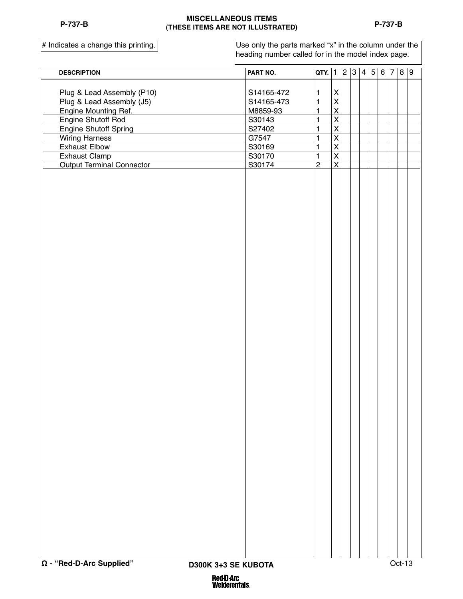#### **MISCELLANEOUS ITEMS (THESE ITEMS ARE NOT ILLUSTRATED)**

 $#$  Indicates a change this printing.

Use only the parts marked "x" in the column under the heading number called for in the model index page.

| <b>DESCRIPTION</b>               | PART NO.   | <b>QTY.</b> $ 1 2 3 4 5 $ |                         |  |  | $6 \overline{7}$ 8 9 |  |  |
|----------------------------------|------------|---------------------------|-------------------------|--|--|----------------------|--|--|
|                                  |            |                           |                         |  |  |                      |  |  |
| Plug & Lead Assembly (P10)       | S14165-472 | $\mathbf{1}$              | $\pmb{\mathsf{X}}$      |  |  |                      |  |  |
| Plug & Lead Assembly (J5)        | S14165-473 | 1                         | $\mathsf{X}$            |  |  |                      |  |  |
| Engine Mounting Ref.             | M8859-93   | 1                         | $\overline{\mathsf{X}}$ |  |  |                      |  |  |
| Engine Shutoff Rod               | S30143     | $\mathbf{1}$              | $\overline{\mathsf{x}}$ |  |  |                      |  |  |
| <b>Engine Shutoff Spring</b>     | S27402     | $\mathbf{1}$              | $\overline{\mathsf{x}}$ |  |  |                      |  |  |
| <b>Wiring Harness</b>            | G7547      | $\mathbf{1}$              | $\overline{\mathsf{x}}$ |  |  |                      |  |  |
| <b>Exhaust Elbow</b>             | S30169     | 1                         | $\overline{\mathsf{x}}$ |  |  |                      |  |  |
| <b>Exhaust Clamp</b>             | S30170     | $\mathbf{1}$              | $\overline{\mathsf{x}}$ |  |  |                      |  |  |
| <b>Output Terminal Connector</b> | S30174     | $\overline{2}$            | $\overline{X}$          |  |  |                      |  |  |
|                                  |            |                           |                         |  |  |                      |  |  |
|                                  |            |                           |                         |  |  |                      |  |  |
|                                  |            |                           |                         |  |  |                      |  |  |
|                                  |            |                           |                         |  |  |                      |  |  |
|                                  |            |                           |                         |  |  |                      |  |  |
|                                  |            |                           |                         |  |  |                      |  |  |
|                                  |            |                           |                         |  |  |                      |  |  |
|                                  |            |                           |                         |  |  |                      |  |  |
|                                  |            |                           |                         |  |  |                      |  |  |
|                                  |            |                           |                         |  |  |                      |  |  |
|                                  |            |                           |                         |  |  |                      |  |  |
|                                  |            |                           |                         |  |  |                      |  |  |
|                                  |            |                           |                         |  |  |                      |  |  |
|                                  |            |                           |                         |  |  |                      |  |  |
|                                  |            |                           |                         |  |  |                      |  |  |
|                                  |            |                           |                         |  |  |                      |  |  |
|                                  |            |                           |                         |  |  |                      |  |  |
|                                  |            |                           |                         |  |  |                      |  |  |
|                                  |            |                           |                         |  |  |                      |  |  |
|                                  |            |                           |                         |  |  |                      |  |  |
|                                  |            |                           |                         |  |  |                      |  |  |
|                                  |            |                           |                         |  |  |                      |  |  |
|                                  |            |                           |                         |  |  |                      |  |  |
|                                  |            |                           |                         |  |  |                      |  |  |
|                                  |            |                           |                         |  |  |                      |  |  |
|                                  |            |                           |                         |  |  |                      |  |  |
|                                  |            |                           |                         |  |  |                      |  |  |
|                                  |            |                           |                         |  |  |                      |  |  |
|                                  |            |                           |                         |  |  |                      |  |  |
|                                  |            |                           |                         |  |  |                      |  |  |
|                                  |            |                           |                         |  |  |                      |  |  |
|                                  |            |                           |                         |  |  |                      |  |  |
|                                  |            |                           |                         |  |  |                      |  |  |
|                                  |            |                           |                         |  |  |                      |  |  |
|                                  |            |                           |                         |  |  |                      |  |  |
|                                  |            |                           |                         |  |  |                      |  |  |
|                                  |            |                           |                         |  |  |                      |  |  |
|                                  |            |                           |                         |  |  |                      |  |  |
|                                  |            |                           |                         |  |  |                      |  |  |
|                                  |            |                           |                         |  |  |                      |  |  |
|                                  |            |                           |                         |  |  |                      |  |  |
|                                  |            |                           |                         |  |  |                      |  |  |
|                                  |            |                           |                         |  |  |                      |  |  |
|                                  |            |                           |                         |  |  |                      |  |  |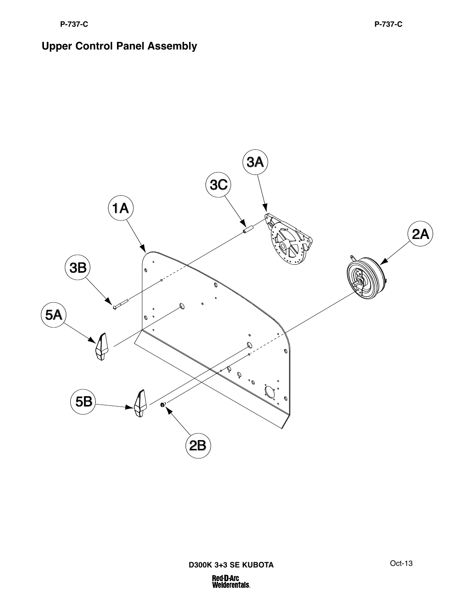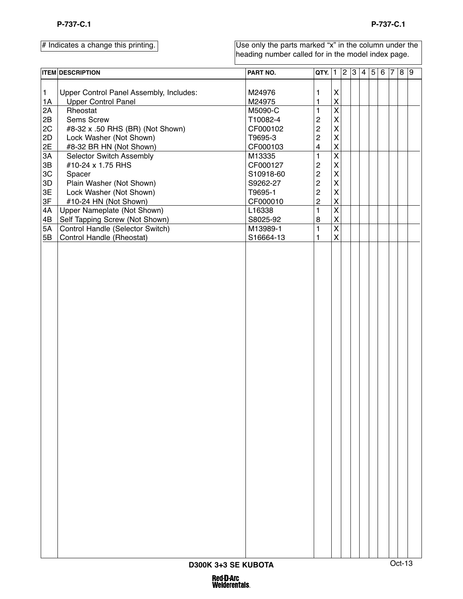|                 | <b>ITEM DESCRIPTION</b>                 | PART NO.           | $QTY.$ 1                |                         | $\overline{2}$ | 3 <sup>1</sup> | 4 5 | $6 \vert 7$ | 8 9    |  |
|-----------------|-----------------------------------------|--------------------|-------------------------|-------------------------|----------------|----------------|-----|-------------|--------|--|
| $\mathbf{1}$    | Upper Control Panel Assembly, Includes: | M24976             | 1                       | $\pmb{\mathsf{X}}$      |                |                |     |             |        |  |
| 1A              | <b>Upper Control Panel</b>              | M24975             | 1                       | $\overline{\mathsf{X}}$ |                |                |     |             |        |  |
| 2A              | Rheostat                                | M5090-C            | $\mathbf{1}$            | $\overline{\mathsf{x}}$ |                |                |     |             |        |  |
| 2B              | Sems Screw                              | T10082-4           | $\overline{c}$          | $\mathsf{X}$            |                |                |     |             |        |  |
| 2C              | #8-32 x .50 RHS (BR) (Not Shown)        | CF000102           | $\overline{c}$          | $\mathsf{\overline{X}}$ |                |                |     |             |        |  |
| 2D              |                                         | T9695-3            | $\overline{c}$          | $\mathsf{\mathsf{X}}$   |                |                |     |             |        |  |
|                 | Lock Washer (Not Shown)                 |                    | $\overline{\mathbf{4}}$ | $\overline{\mathsf{X}}$ |                |                |     |             |        |  |
| $\frac{2E}{3A}$ | #8-32 BR HN (Not Shown)                 | CF000103<br>M13335 | $\mathbf{1}$            | $\overline{\mathsf{x}}$ |                |                |     |             |        |  |
|                 | Selector Switch Assembly                |                    |                         |                         |                |                |     |             |        |  |
| $3\mathsf{B}$   | #10-24 x 1.75 RHS                       | CF000127           | $\boldsymbol{2}$        | $\mathsf{X}$            |                |                |     |             |        |  |
| 3C              | Spacer                                  | S10918-60          | $\mathbf{2}$            | $\mathsf{\overline{X}}$ |                |                |     |             |        |  |
| $3\mathsf{D}$   | Plain Washer (Not Shown)                | S9262-27           | $\mathbf 2$             | $\mathsf{\mathsf{X}}$   |                |                |     |             |        |  |
| 3E              | Lock Washer (Not Shown)                 | T9695-1            | $\mathbf 2$             | $\mathsf{\overline{X}}$ |                |                |     |             |        |  |
| 3F              | #10-24 HN (Not Shown)                   | CF000010           | $\overline{c}$          | $\overline{\mathsf{X}}$ |                |                |     |             |        |  |
| 4A              | Upper Nameplate (Not Shown)             | L16338             | $\mathbf{1}$            | $\overline{\mathsf{x}}$ |                |                |     |             |        |  |
| 4B              | Self Tapping Screw (Not Shown)          | S8025-92           | $\bf 8$                 | $\overline{\mathsf{X}}$ |                |                |     |             |        |  |
| 5A              | Control Handle (Selector Switch)        | M13989-1           | $\mathbf{1}$            | $\overline{\mathsf{x}}$ |                |                |     |             |        |  |
| 5B              | <b>Control Handle (Rheostat)</b>        | S16664-13          | 1                       | $\overline{\mathsf{X}}$ |                |                |     |             |        |  |
|                 |                                         |                    |                         |                         |                |                |     |             |        |  |
|                 | D300K 3+3 SE KUBOTA                     |                    |                         |                         |                |                |     |             | Oct-13 |  |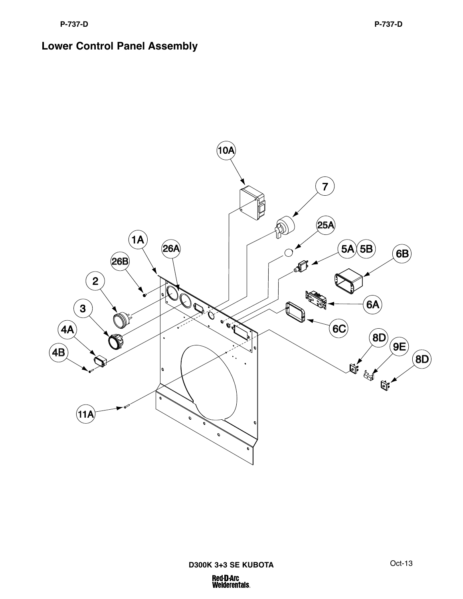#### **Lower Control Panel Assembly**

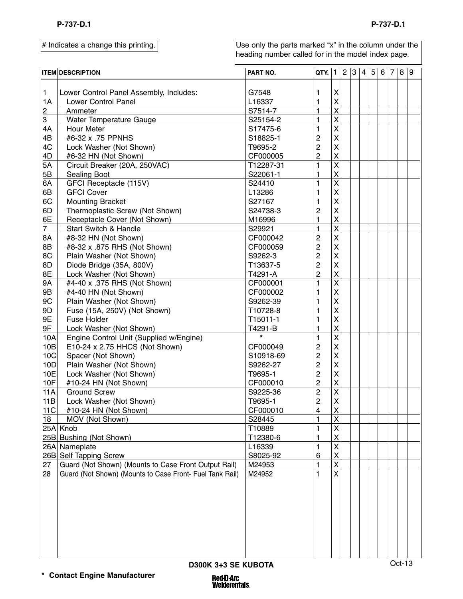Use only the parts marked "x" in the column under the heading number called for in the model index page.

|                | <b>ITEM DESCRIPTION</b>                                  | PART NO.           | QTY.                    | $\mathbf{1}$            | $\overline{2}$ | 3 4 5 | 6 | 7 8 9 |  |
|----------------|----------------------------------------------------------|--------------------|-------------------------|-------------------------|----------------|-------|---|-------|--|
|                |                                                          |                    |                         |                         |                |       |   |       |  |
| $\mathbf{1}$   | Lower Control Panel Assembly, Includes:                  | G7548              | 1                       | X                       |                |       |   |       |  |
| 1A             | Lower Control Panel                                      | L16337             | 1                       | $\pmb{\mathsf{X}}$      |                |       |   |       |  |
| $\overline{2}$ | Ammeter                                                  | S7514-7            | $\mathbf{1}$            | $\overline{\mathsf{x}}$ |                |       |   |       |  |
| 3              | Water Temperature Gauge                                  | S25154-2           | $\mathbf{1}$            | $\overline{\mathsf{x}}$ |                |       |   |       |  |
| 4A             | Hour Meter                                               | S17475-6           | 1                       | $\overline{\mathsf{x}}$ |                |       |   |       |  |
| 4B             | #6-32 x .75 PPNHS                                        | S18825-1           | $\mathbf 2$             | $\overline{\mathsf{X}}$ |                |       |   |       |  |
| 4C             | Lock Washer (Not Shown)                                  | T9695-2            | $\overline{c}$          | $\overline{\mathsf{X}}$ |                |       |   |       |  |
| 4D             | #6-32 HN (Not Shown)                                     | CF000005           | $\overline{2}$          | $\mathsf{\overline{X}}$ |                |       |   |       |  |
| 5A             | Circuit Breaker (20A, 250VAC)                            | T12287-31          | $\mathbf{1}$            | $\overline{\mathsf{x}}$ |                |       |   |       |  |
| 5B             | Sealing Boot                                             | S22061-1           | 1                       | X                       |                |       |   |       |  |
| 6A             | GFCI Receptacle (115V)                                   | S24410             | $\mathbf{1}$            | $\overline{\mathsf{x}}$ |                |       |   |       |  |
| 6B             | <b>GFCI Cover</b>                                        | L13286             | 1                       | X                       |                |       |   |       |  |
| 6C             | <b>Mounting Bracket</b>                                  | S27167             | 1                       | $\overline{\mathsf{X}}$ |                |       |   |       |  |
| 6D             | Thermoplastic Screw (Not Shown)                          | S24738-3           | $\overline{c}$          | $\overline{\mathsf{X}}$ |                |       |   |       |  |
| 6E             | Receptacle Cover (Not Shown)                             | M16996             | $\mathbf{1}$            | $\mathsf{\overline{X}}$ |                |       |   |       |  |
| $\overline{7}$ | Start Switch & Handle                                    | S29921             | $\mathbf{1}$            | $\overline{\mathsf{x}}$ |                |       |   |       |  |
| 8A             | #8-32 HN (Not Shown)                                     | CF000042           | $\overline{c}$          | $\overline{\mathsf{x}}$ |                |       |   |       |  |
| 8B             | #8-32 x .875 RHS (Not Shown)                             | CF000059           | $\overline{c}$          | $\overline{\mathsf{X}}$ |                |       |   |       |  |
| 8C             | Plain Washer (Not Shown)                                 | S9262-3            | $\overline{c}$          | $\overline{\mathsf{X}}$ |                |       |   |       |  |
| 8D             | Diode Bridge (35A, 800V)                                 | T13637-5           | $\overline{c}$          | $\overline{\mathsf{X}}$ |                |       |   |       |  |
| 8E             | Lock Washer (Not Shown)                                  | T4291-A            | $\overline{2}$          | $\overline{\mathsf{X}}$ |                |       |   |       |  |
| <b>9A</b>      | #4-40 x .375 RHS (Not Shown)                             | CF000001           | $\mathbf{1}$            | $\overline{\mathsf{x}}$ |                |       |   |       |  |
| 9B             | #4-40 HN (Not Shown)                                     | CF000002           | 1                       | X                       |                |       |   |       |  |
| 9C             |                                                          |                    |                         | $\overline{\mathsf{X}}$ |                |       |   |       |  |
|                | Plain Washer (Not Shown)                                 | S9262-39           | 1                       | $\overline{\mathsf{X}}$ |                |       |   |       |  |
| 9D             | Fuse (15A, 250V) (Not Shown)                             | T10728-8           | 1                       |                         |                |       |   |       |  |
| 9E             | Fuse Holder                                              | T15011-1           | 1                       | $\overline{\mathsf{X}}$ |                |       |   |       |  |
| 9F             | Lock Washer (Not Shown)                                  | T4291-B<br>$\star$ | 1                       | $\overline{\mathsf{X}}$ |                |       |   |       |  |
| 10A            | Engine Control Unit (Supplied w/Engine)                  |                    | 1                       | $\overline{\mathsf{x}}$ |                |       |   |       |  |
| 10B            | E10-24 x 2.75 HHCS (Not Shown)                           | CF000049           | $\mathbf 2$             | $\overline{\mathsf{X}}$ |                |       |   |       |  |
| 10C            | Spacer (Not Shown)                                       | S10918-69          | $\overline{c}$          | $\overline{\mathsf{X}}$ |                |       |   |       |  |
| 10D            | Plain Washer (Not Shown)                                 | S9262-27           | $\overline{c}$          | $\overline{\mathsf{X}}$ |                |       |   |       |  |
| 10E            | Lock Washer (Not Shown)                                  | T9695-1            | $\overline{c}$          | $\overline{\mathsf{X}}$ |                |       |   |       |  |
| 10F            | #10-24 HN (Not Shown)                                    | CF000010           | $\overline{c}$          | X                       |                |       |   |       |  |
| <b>11A</b>     | <b>Ground Screw</b>                                      | S9225-36           | $\overline{c}$          | $\overline{\mathsf{x}}$ |                |       |   |       |  |
| 11B            | Lock Washer (Not Shown)                                  | T9695-1            | $\overline{\mathbf{c}}$ | $\mathsf{x}$            |                |       |   |       |  |
| 11C            | #10-24 HN (Not Shown)                                    | CF000010           | $\overline{4}$          | $\mathsf{X}% _{0}$      |                |       |   |       |  |
| 18             | MOV (Not Shown)                                          | S28445             | $\mathbf{1}$            | $\overline{\mathsf{x}}$ |                |       |   |       |  |
|                | 25A Knob                                                 | T10889             | 1                       | $\overline{\mathsf{X}}$ |                |       |   |       |  |
|                | 25B Bushing (Not Shown)                                  | T12380-6           | 1                       | X                       |                |       |   |       |  |
|                | 26A Nameplate                                            | L16339             | 1                       | $\overline{\mathsf{x}}$ |                |       |   |       |  |
|                | 26B Self Tapping Screw                                   | S8025-92           | 6                       | X                       |                |       |   |       |  |
| 27             | Guard (Not Shown) (Mounts to Case Front Output Rail)     | M24953             | $\mathbf{1}$            | $\overline{\mathsf{x}}$ |                |       |   |       |  |
| 28             | Guard (Not Shown) (Mounts to Case Front- Fuel Tank Rail) | M24952             | 1                       | $\overline{\mathsf{x}}$ |                |       |   |       |  |
|                |                                                          |                    |                         |                         |                |       |   |       |  |
|                |                                                          |                    |                         |                         |                |       |   |       |  |
|                |                                                          |                    |                         |                         |                |       |   |       |  |
|                |                                                          |                    |                         |                         |                |       |   |       |  |
|                |                                                          |                    |                         |                         |                |       |   |       |  |
|                |                                                          |                    |                         |                         |                |       |   |       |  |
|                |                                                          |                    |                         |                         |                |       |   |       |  |
|                |                                                          |                    |                         |                         |                |       |   |       |  |
|                |                                                          |                    |                         |                         |                |       |   |       |  |
|                |                                                          |                    |                         |                         |                |       |   |       |  |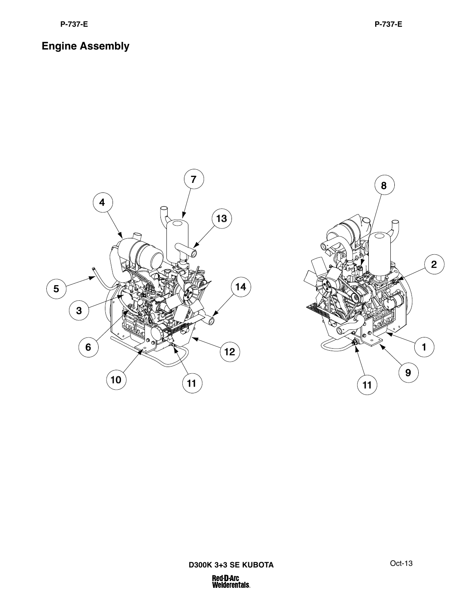# **Engine Assembly**



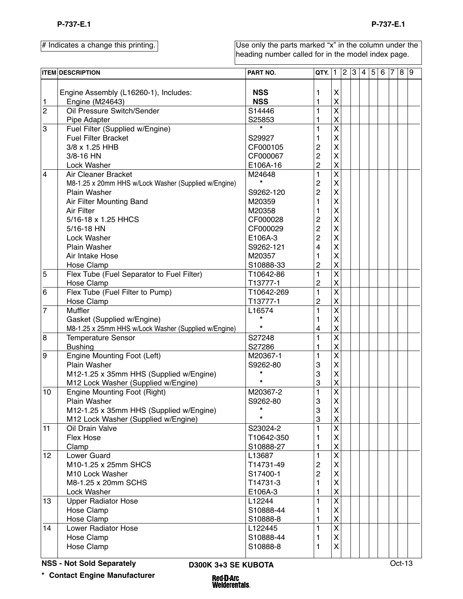Use only the parts marked "x" in the column under the heading number called for in the model index page.

|                | <b>ITEM DESCRIPTION</b>                                  | PART NO.                 | QTY.                      | 1                         | 2 | 3 | 4 5 | 6 | $\vert 7 \vert$ | 8 9 |  |
|----------------|----------------------------------------------------------|--------------------------|---------------------------|---------------------------|---|---|-----|---|-----------------|-----|--|
| 1              | Engine Assembly (L16260-1), Includes:<br>Engine (M24643) | <b>NSS</b><br><b>NSS</b> | 1<br>1                    | X<br>$\mathsf{X}$         |   |   |     |   |                 |     |  |
| $\overline{c}$ | Oil Pressure Switch/Sender                               | S14446                   | 1                         | $\overline{\mathsf{x}}$   |   |   |     |   |                 |     |  |
|                | Pipe Adapter                                             | S25853                   | 1                         | $\mathsf{X}$              |   |   |     |   |                 |     |  |
| 3              | Fuel Filter (Supplied w/Engine)                          | $\star$                  | $\mathbf{1}$              | $\overline{\mathsf{x}}$   |   |   |     |   |                 |     |  |
|                | <b>Fuel Filter Bracket</b>                               | S29927                   | 1                         | $\boldsymbol{\mathsf{X}}$ |   |   |     |   |                 |     |  |
|                | 3/8 x 1.25 HHB                                           | CF000105                 | 2                         | $\overline{\mathsf{X}}$   |   |   |     |   |                 |     |  |
|                | 3/8-16 HN                                                | CF000067                 | $\overline{c}$            | $\overline{\mathsf{X}}$   |   |   |     |   |                 |     |  |
|                | Lock Washer                                              | E106A-16                 | 2                         | $\mathsf{X}$              |   |   |     |   |                 |     |  |
| $\overline{4}$ | Air Cleaner Bracket                                      | M24648                   | $\mathbf{1}$              | $\overline{\mathsf{x}}$   |   |   |     |   |                 |     |  |
|                | M8-1.25 x 20mm HHS w/Lock Washer (Supplied w/Engine)     | $\star$                  | $\overline{c}$            | $\overline{\mathsf{X}}$   |   |   |     |   |                 |     |  |
|                | <b>Plain Washer</b>                                      | S9262-120                | 2                         | $\overline{\mathsf{X}}$   |   |   |     |   |                 |     |  |
|                | Air Filter Mounting Band                                 | M20359                   | 1                         | $\overline{\mathsf{X}}$   |   |   |     |   |                 |     |  |
|                | <b>Air Filter</b>                                        | M20358                   | 1                         | $\overline{\mathsf{X}}$   |   |   |     |   |                 |     |  |
|                | 5/16-18 x 1.25 HHCS                                      | CF000028                 | 2                         | $\overline{\mathsf{X}}$   |   |   |     |   |                 |     |  |
|                | 5/16-18 HN                                               | CF000029                 | $\overline{c}$            | $\overline{\mathsf{X}}$   |   |   |     |   |                 |     |  |
|                | Lock Washer                                              | E106A-3                  | $\overline{c}$            | $\overline{\mathsf{X}}$   |   |   |     |   |                 |     |  |
|                | <b>Plain Washer</b>                                      | S9262-121                | 4                         | $\boldsymbol{\mathsf{X}}$ |   |   |     |   |                 |     |  |
|                | Air Intake Hose                                          | M20357                   | 1                         | $\overline{\mathsf{X}}$   |   |   |     |   |                 |     |  |
|                | Hose Clamp                                               | S10888-33                | 2                         | $\overline{\mathsf{X}}$   |   |   |     |   |                 |     |  |
| $\overline{5}$ | Flex Tube (Fuel Separator to Fuel Filter)                | T10642-86                | $\mathbf{1}$              | $\overline{\mathsf{x}}$   |   |   |     |   |                 |     |  |
|                | Hose Clamp                                               | T13777-1                 | 2                         | $\mathsf{X}$              |   |   |     |   |                 |     |  |
| 6              | Flex Tube (Fuel Filter to Pump)                          | T10642-269               | $\mathbf{1}$              | $\overline{\mathsf{x}}$   |   |   |     |   |                 |     |  |
|                | Hose Clamp                                               | T13777-1                 | 2                         | $\mathsf{X}$              |   |   |     |   |                 |     |  |
| $\overline{7}$ | Muffler                                                  | L16574                   | $\mathbf{1}$              | $\overline{\mathsf{x}}$   |   |   |     |   |                 |     |  |
|                | Gasket (Supplied w/Engine)                               | $\star$                  | 1                         | $\boldsymbol{\mathsf{X}}$ |   |   |     |   |                 |     |  |
|                | M8-1.25 x 25mm HHS w/Lock Washer (Supplied w/Engine)     | $\star$                  | 4                         | $\mathsf{\overline{X}}$   |   |   |     |   |                 |     |  |
| 8              | <b>Temperature Sensor</b>                                | S27248                   | 1                         | $\overline{\mathsf{x}}$   |   |   |     |   |                 |     |  |
|                | <b>Bushing</b>                                           | S27286                   | 1                         | $\mathsf{X}$              |   |   |     |   |                 |     |  |
| 9              | Engine Mounting Foot (Left)                              | M20367-1                 | 1                         | $\overline{\mathsf{x}}$   |   |   |     |   |                 |     |  |
|                | Plain Washer                                             | S9262-80                 | 3                         | $\boldsymbol{\mathsf{X}}$ |   |   |     |   |                 |     |  |
|                | M12-1.25 x 35mm HHS (Supplied w/Engine)                  | $\star$                  | $\ensuremath{\mathsf{3}}$ | $\overline{\mathsf{X}}$   |   |   |     |   |                 |     |  |
|                | M12 Lock Washer (Supplied w/Engine)                      | $\star$                  | 3                         | $\boldsymbol{\mathsf{X}}$ |   |   |     |   |                 |     |  |
| 10             | <b>Engine Mounting Foot (Right)</b>                      | M20367-2                 | $\mathbf{1}$              | $\overline{\mathsf{x}}$   |   |   |     |   |                 |     |  |
|                | Plain Washer                                             | S9262-80                 | 3                         | $\mathsf{\overline{X}}$   |   |   |     |   |                 |     |  |
|                | M12-1.25 x 35mm HHS (Supplied w/Engine)                  |                          | $\ensuremath{\mathsf{3}}$ | $\mathsf{X}$              |   |   |     |   |                 |     |  |
|                | M12 Lock Washer (Supplied w/Engine)                      | $\star$                  | 3                         | $\mathsf{X}$              |   |   |     |   |                 |     |  |
| 11             | Oil Drain Valve                                          | S23024-2                 | 1                         | $\overline{\mathsf{x}}$   |   |   |     |   |                 |     |  |
|                | Flex Hose                                                | T10642-350               | 1                         | $\mathsf{X}$              |   |   |     |   |                 |     |  |
|                | Clamp                                                    | S10888-27                | 1                         | $\mathsf{\overline{X}}$   |   |   |     |   |                 |     |  |
| 12             | Lower Guard                                              | L13687                   | $\mathbf{1}$              | $\overline{\mathsf{x}}$   |   |   |     |   |                 |     |  |
|                | M10-1.25 x 25mm SHCS                                     | T14731-49                | $\overline{c}$            | $\mathsf{X}$              |   |   |     |   |                 |     |  |
|                | M <sub>10</sub> Lock Washer                              | S17400-1                 | $\overline{c}$            | X                         |   |   |     |   |                 |     |  |
|                | M8-1.25 x 20mm SCHS                                      | T14731-3                 | 1                         | $\mathsf{X}$              |   |   |     |   |                 |     |  |
|                | Lock Washer                                              | E106A-3                  | 1                         | $\pmb{\mathsf{X}}$        |   |   |     |   |                 |     |  |
| 13             | <b>Upper Radiator Hose</b>                               | L12244                   | 1                         | $\overline{\mathsf{x}}$   |   |   |     |   |                 |     |  |
|                | Hose Clamp                                               | S10888-44                | 1                         | $\mathsf{X}$              |   |   |     |   |                 |     |  |
|                | Hose Clamp                                               | S10888-8                 | 1                         | $\mathsf{X}$              |   |   |     |   |                 |     |  |
| 14             | Lower Radiator Hose                                      | L122445                  | 1                         | $\overline{\mathsf{x}}$   |   |   |     |   |                 |     |  |
|                | Hose Clamp                                               | S10888-44                | 1                         | $\mathsf{X}$              |   |   |     |   |                 |     |  |
|                | Hose Clamp                                               | S10888-8                 | 1                         | Χ                         |   |   |     |   |                 |     |  |
|                |                                                          |                          |                           |                           |   |   |     |   |                 |     |  |

**D300K 3+3 SE KUBOTA** Oct-13

Red **D** Arc<br>Welderentals.

**\* Contact Engine Manufacturer**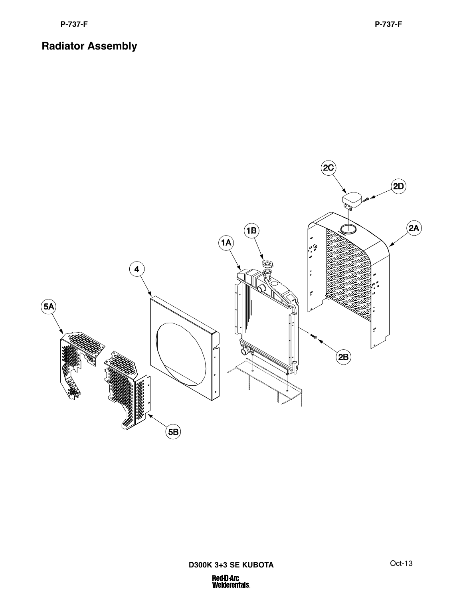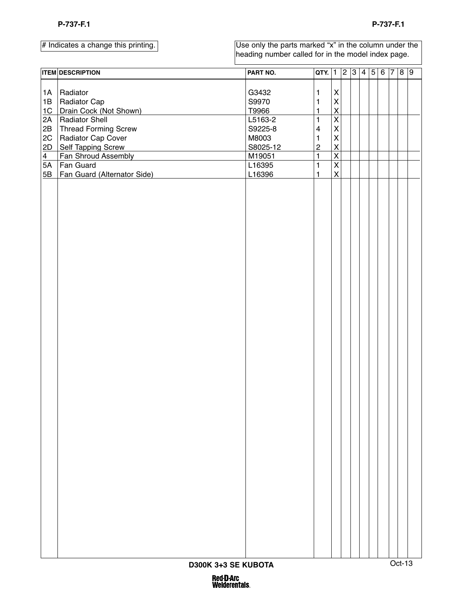|  | # Indicates a change this printing. |
|--|-------------------------------------|
|  |                                     |

|                 | <b>ITEM DESCRIPTION</b>     | PART NO. | $QTY.$ 1                |                                 | $\overline{2}$ | $3 \quad 4 \mid 5$ | $6 \mid 7 \mid 8 \mid 9$ |        |  |
|-----------------|-----------------------------|----------|-------------------------|---------------------------------|----------------|--------------------|--------------------------|--------|--|
|                 |                             |          |                         |                                 |                |                    |                          |        |  |
| 1A              | Radiator                    | G3432    | $\mathbf{1}$            | X                               |                |                    |                          |        |  |
| 1B              | Radiator Cap                | S9970    | $\mathbf{1}$            | $\mathsf{x}$                    |                |                    |                          |        |  |
| 1C              | Drain Cock (Not Shown)      | T9966    | $\mathbf{1}$            | $\overline{\mathsf{X}}$         |                |                    |                          |        |  |
| 2A              | <b>Radiator Shell</b>       | L5163-2  | $\mathbf{1}$            | $\overline{\mathsf{x}}$         |                |                    |                          |        |  |
| 2B              | <b>Thread Forming Screw</b> | S9225-8  | $\overline{\mathbf{4}}$ | $\mathsf{X}$                    |                |                    |                          |        |  |
| $2\mathrm{C}$   | Radiator Cap Cover          | M8003    | $\mathbf{1}$            | $\mathsf{\overline{X}}$         |                |                    |                          |        |  |
| 2D              | <b>Self Tapping Screw</b>   | S8025-12 | $\mathbf 2$             | $\frac{\mathsf{X}}{\mathsf{X}}$ |                |                    |                          |        |  |
| $\frac{4}{1}$   | Fan Shroud Assembly         | M19051   | $\mathbf{1}$            |                                 |                |                    |                          |        |  |
| $\overline{5A}$ | Fan Guard                   | L16395   | $\mathbf{1}$            | $\overline{\mathsf{x}}$         |                |                    |                          |        |  |
| 5B              | Fan Guard (Alternator Side) | L16396   | $\mathbf{1}$            | $\pmb{\mathsf{X}}$              |                |                    |                          |        |  |
|                 |                             |          |                         |                                 |                |                    |                          |        |  |
|                 | D300K 3+3 SE KUBOTA         |          |                         |                                 |                |                    |                          | Oct-13 |  |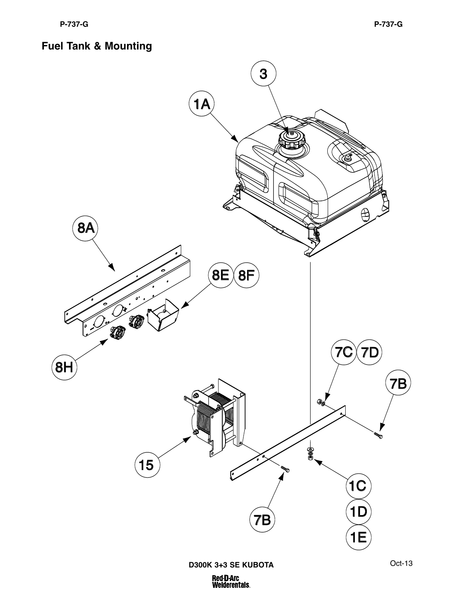# **Fuel Tank & Mounting**

![](_page_13_Figure_3.jpeg)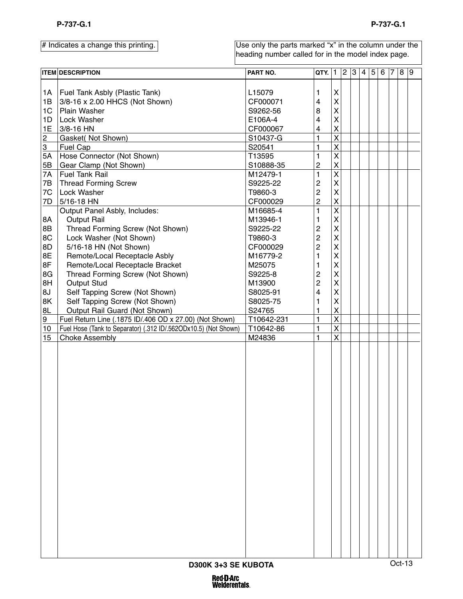Use only the parts marked "x" in the column under the heading number called for in the model index page.

|                | <b>ITEM DESCRIPTION</b>                                         | PART NO.   | QTY. $ 1 2 3 4 5 $ |                         |  |  | 6 7 | 8 9    |  |
|----------------|-----------------------------------------------------------------|------------|--------------------|-------------------------|--|--|-----|--------|--|
|                |                                                                 |            |                    |                         |  |  |     |        |  |
| 1A             | Fuel Tank Asbly (Plastic Tank)                                  | L15079     | 1                  | X                       |  |  |     |        |  |
| 1B             | 3/8-16 x 2.00 HHCS (Not Shown)                                  | CF000071   | 4                  | $\mathsf{X}$            |  |  |     |        |  |
| 1 <sub>C</sub> | Plain Washer                                                    | S9262-56   | 8                  | X                       |  |  |     |        |  |
| 1D             | Lock Washer                                                     | E106A-4    | 4                  | X                       |  |  |     |        |  |
| 1E             | 3/8-16 HN                                                       | CF000067   | 4                  | X                       |  |  |     |        |  |
| $\overline{2}$ | Gasket( Not Shown)                                              | S10437-G   | 1                  | $\pmb{\mathsf{X}}$      |  |  |     |        |  |
| $\overline{3}$ | Fuel Cap                                                        | S20541     | 1                  | $\pmb{\mathsf{X}}$      |  |  |     |        |  |
| 5A             | Hose Connector (Not Shown)                                      | T13595     | 1                  | $\mathsf{X}$            |  |  |     |        |  |
| $5\mathsf{B}$  | Gear Clamp (Not Shown)                                          | S10888-35  | 2                  | $\mathsf{X}$            |  |  |     |        |  |
| 7A             | <b>Fuel Tank Rail</b>                                           | M12479-1   | 1                  | $\mathsf{X}$            |  |  |     |        |  |
| 7B             | <b>Thread Forming Screw</b>                                     | S9225-22   | 2                  | X                       |  |  |     |        |  |
| 7C             | Lock Washer                                                     | T9860-3    | 2                  | X                       |  |  |     |        |  |
| 7D             | 5/16-18 HN                                                      | CF000029   | $\overline{c}$     | $\mathsf{X}$            |  |  |     |        |  |
|                | Output Panel Asbly, Includes:                                   | M16685-4   | 1                  | $\pmb{\mathsf{X}}$      |  |  |     |        |  |
| 8A             | <b>Output Rail</b>                                              | M13946-1   | 1                  | $\mathsf{X}$            |  |  |     |        |  |
| 8B             | Thread Forming Screw (Not Shown)                                | S9225-22   | 2                  | X                       |  |  |     |        |  |
| 8C             | Lock Washer (Not Shown)                                         | T9860-3    | 2                  | X                       |  |  |     |        |  |
| 8D             | 5/16-18 HN (Not Shown)                                          | CF000029   | 2                  | X                       |  |  |     |        |  |
| 8E             | Remote/Local Receptacle Asbly                                   | M16779-2   | 1                  | X                       |  |  |     |        |  |
| 8F             | Remote/Local Receptacle Bracket                                 | M25075     | 1                  | X                       |  |  |     |        |  |
| 8G             | Thread Forming Screw (Not Shown)                                | S9225-8    | 2                  | X                       |  |  |     |        |  |
| 8H             | <b>Output Stud</b>                                              | M13900     | 2                  | X                       |  |  |     |        |  |
| 8J             | Self Tapping Screw (Not Shown)                                  | S8025-91   | 4                  | X                       |  |  |     |        |  |
| 8K             | Self Tapping Screw (Not Shown)                                  | S8025-75   | 1                  | X                       |  |  |     |        |  |
| 8L             | Output Rail Guard (Not Shown)                                   | S24765     | 1                  | $\mathsf{X}$            |  |  |     |        |  |
| 9              | Fuel Return Line (.1875 ID/.406 OD x 27.00) (Not Shown)         | T10642-231 | 1                  | $\overline{\mathsf{X}}$ |  |  |     |        |  |
| $10$           | Fuel Hose (Tank to Separator) (.312 ID/.562ODx10.5) (Not Shown) | T10642-86  | 1                  | $\pmb{\mathsf{X}}$      |  |  |     |        |  |
| 15             | <b>Choke Assembly</b>                                           | M24836     | 1                  | $\mathsf{X}$            |  |  |     |        |  |
|                |                                                                 |            |                    |                         |  |  |     |        |  |
|                |                                                                 |            |                    |                         |  |  |     |        |  |
|                |                                                                 |            |                    |                         |  |  |     |        |  |
|                |                                                                 |            |                    |                         |  |  |     |        |  |
|                |                                                                 |            |                    |                         |  |  |     |        |  |
|                |                                                                 |            |                    |                         |  |  |     |        |  |
|                |                                                                 |            |                    |                         |  |  |     |        |  |
|                |                                                                 |            |                    |                         |  |  |     |        |  |
|                |                                                                 |            |                    |                         |  |  |     |        |  |
|                |                                                                 |            |                    |                         |  |  |     |        |  |
|                |                                                                 |            |                    |                         |  |  |     |        |  |
|                |                                                                 |            |                    |                         |  |  |     |        |  |
|                |                                                                 |            |                    |                         |  |  |     |        |  |
|                |                                                                 |            |                    |                         |  |  |     |        |  |
|                |                                                                 |            |                    |                         |  |  |     |        |  |
|                |                                                                 |            |                    |                         |  |  |     |        |  |
|                |                                                                 |            |                    |                         |  |  |     |        |  |
|                |                                                                 |            |                    |                         |  |  |     |        |  |
|                |                                                                 |            |                    |                         |  |  |     |        |  |
|                |                                                                 |            |                    |                         |  |  |     |        |  |
|                |                                                                 |            |                    |                         |  |  |     |        |  |
|                |                                                                 |            |                    |                         |  |  |     |        |  |
|                |                                                                 |            |                    |                         |  |  |     |        |  |
|                |                                                                 |            |                    |                         |  |  |     |        |  |
|                | D300K 3+3 SE KUBOTA                                             |            |                    |                         |  |  |     | Oct-13 |  |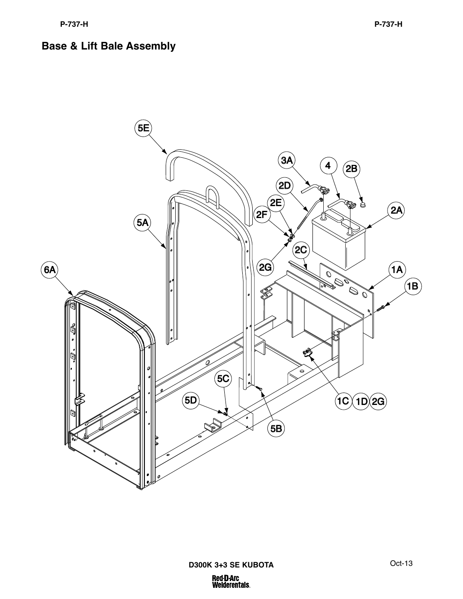# **Base & Lift Bale Assembly**

![](_page_15_Figure_3.jpeg)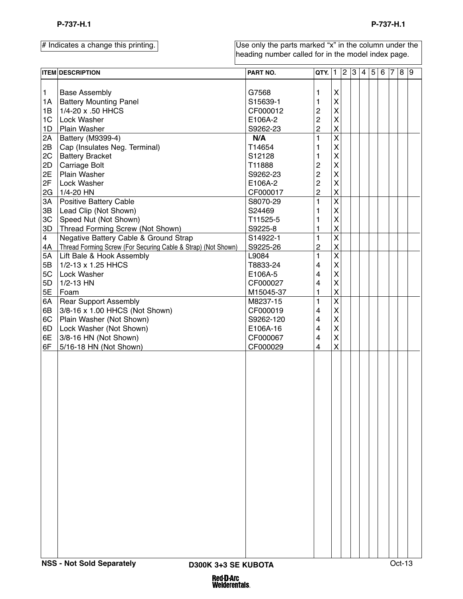|                         | <b>ITEM DESCRIPTION</b>                                       | PART NO.  | QTY.           | $\mathbf{1}$            | $\overline{2}$ | $\overline{3}$ | $\overline{4}$ | 5 | 6 | $\bar{7}$ | 8 9 |  |
|-------------------------|---------------------------------------------------------------|-----------|----------------|-------------------------|----------------|----------------|----------------|---|---|-----------|-----|--|
|                         |                                                               |           |                |                         |                |                |                |   |   |           |     |  |
| $\mathbf{1}$            | <b>Base Assembly</b>                                          | G7568     | 1              | X                       |                |                |                |   |   |           |     |  |
| 1A                      | <b>Battery Mounting Panel</b>                                 | S15639-1  | 1              | $\overline{\mathsf{X}}$ |                |                |                |   |   |           |     |  |
| 1B                      | 1/4-20 x .50 HHCS                                             | CF000012  | 2              | $\overline{\mathsf{X}}$ |                |                |                |   |   |           |     |  |
| 1C                      | Lock Washer                                                   | E106A-2   | $\overline{c}$ | $\overline{\mathsf{X}}$ |                |                |                |   |   |           |     |  |
| 1D                      | Plain Washer                                                  | S9262-23  | $\overline{c}$ | X                       |                |                |                |   |   |           |     |  |
| 2A                      | Battery (M9399-4)                                             | N/A       | $\mathbf{1}$   | $\overline{\mathsf{x}}$ |                |                |                |   |   |           |     |  |
| 2B                      | Cap (Insulates Neg. Terminal)                                 | T14654    | 1              | $\overline{\mathsf{X}}$ |                |                |                |   |   |           |     |  |
| 2C                      | <b>Battery Bracket</b>                                        | S12128    | 1              | $\overline{\mathsf{x}}$ |                |                |                |   |   |           |     |  |
| 2D                      | Carriage Bolt                                                 | T11888    | $\overline{c}$ | $\overline{\mathsf{X}}$ |                |                |                |   |   |           |     |  |
| 2E                      | Plain Washer                                                  | S9262-23  | $\overline{c}$ | $\overline{\mathsf{x}}$ |                |                |                |   |   |           |     |  |
| 2F                      | Lock Washer                                                   | E106A-2   | $\overline{c}$ | $\overline{\mathsf{X}}$ |                |                |                |   |   |           |     |  |
| 2G                      | 1/4-20 HN                                                     | CF000017  | $\overline{c}$ | $\overline{\mathsf{X}}$ |                |                |                |   |   |           |     |  |
| 3A                      | Positive Battery Cable                                        | S8070-29  | $\mathbf{1}$   | $\overline{\mathsf{x}}$ |                |                |                |   |   |           |     |  |
| 3B                      | Lead Clip (Not Shown)                                         | S24469    | 1              | X                       |                |                |                |   |   |           |     |  |
| 3C                      | Speed Nut (Not Shown)                                         | T11525-5  | 1              | $\overline{\mathsf{X}}$ |                |                |                |   |   |           |     |  |
| 3D                      | Thread Forming Screw (Not Shown)                              | S9225-8   | 1              | X                       |                |                |                |   |   |           |     |  |
| $\overline{\mathbf{4}}$ | Negative Battery Cable & Ground Strap                         | S14922-1  | 1              | $\overline{\mathsf{x}}$ |                |                |                |   |   |           |     |  |
|                         |                                                               | S9225-26  |                | $\mathsf{X}$            |                |                |                |   |   |           |     |  |
| 4A                      | Thread Forming Screw (For Securing Cable & Strap) (Not Shown) | L9084     | $\overline{c}$ | $\overline{\mathsf{x}}$ |                |                |                |   |   |           |     |  |
| 5A                      | Lift Bale & Hook Assembly                                     |           | 1              |                         |                |                |                |   |   |           |     |  |
| 5B                      | 1/2-13 x 1.25 HHCS                                            | T8833-24  | 4              | X                       |                |                |                |   |   |           |     |  |
| 5C                      | Lock Washer                                                   | E106A-5   | 4              | X                       |                |                |                |   |   |           |     |  |
| 5D                      | 1/2-13 HN                                                     | CF000027  | 4              | $\overline{\mathsf{X}}$ |                |                |                |   |   |           |     |  |
| 5E                      | Foam                                                          | M15045-37 | 1              | X                       |                |                |                |   |   |           |     |  |
| 6A                      | <b>Rear Support Assembly</b>                                  | M8237-15  | 1              | $\overline{\mathsf{x}}$ |                |                |                |   |   |           |     |  |
| 6B                      | 3/8-16 x 1.00 HHCS (Not Shown)                                | CF000019  | 4              | X                       |                |                |                |   |   |           |     |  |
| 6C                      | Plain Washer (Not Shown)                                      | S9262-120 | 4              | $\overline{\mathsf{X}}$ |                |                |                |   |   |           |     |  |
| 6D                      | Lock Washer (Not Shown)                                       | E106A-16  | 4              | X                       |                |                |                |   |   |           |     |  |
| 6E                      | 3/8-16 HN (Not Shown)                                         | CF000067  | 4              | $\mathsf{\overline{X}}$ |                |                |                |   |   |           |     |  |
| 6F                      | 5/16-18 HN (Not Shown)                                        | CF000029  | 4              | $\mathsf{X}$            |                |                |                |   |   |           |     |  |
|                         |                                                               |           |                |                         |                |                |                |   |   |           |     |  |
|                         |                                                               |           |                |                         |                |                |                |   |   |           |     |  |
|                         |                                                               |           |                |                         |                |                |                |   |   |           |     |  |
|                         |                                                               |           |                |                         |                |                |                |   |   |           |     |  |
|                         |                                                               |           |                |                         |                |                |                |   |   |           |     |  |
|                         |                                                               |           |                |                         |                |                |                |   |   |           |     |  |
|                         |                                                               |           |                |                         |                |                |                |   |   |           |     |  |
|                         |                                                               |           |                |                         |                |                |                |   |   |           |     |  |
|                         |                                                               |           |                |                         |                |                |                |   |   |           |     |  |
|                         |                                                               |           |                |                         |                |                |                |   |   |           |     |  |
|                         |                                                               |           |                |                         |                |                |                |   |   |           |     |  |
|                         |                                                               |           |                |                         |                |                |                |   |   |           |     |  |
|                         |                                                               |           |                |                         |                |                |                |   |   |           |     |  |
|                         |                                                               |           |                |                         |                |                |                |   |   |           |     |  |
|                         |                                                               |           |                |                         |                |                |                |   |   |           |     |  |
|                         |                                                               |           |                |                         |                |                |                |   |   |           |     |  |
|                         |                                                               |           |                |                         |                |                |                |   |   |           |     |  |
|                         |                                                               |           |                |                         |                |                |                |   |   |           |     |  |
|                         |                                                               |           |                |                         |                |                |                |   |   |           |     |  |
|                         |                                                               |           |                |                         |                |                |                |   |   |           |     |  |
|                         |                                                               |           |                |                         |                |                |                |   |   |           |     |  |
|                         |                                                               |           |                |                         |                |                |                |   |   |           |     |  |
|                         |                                                               |           |                |                         |                |                |                |   |   |           |     |  |
|                         |                                                               |           |                |                         |                |                |                |   |   |           |     |  |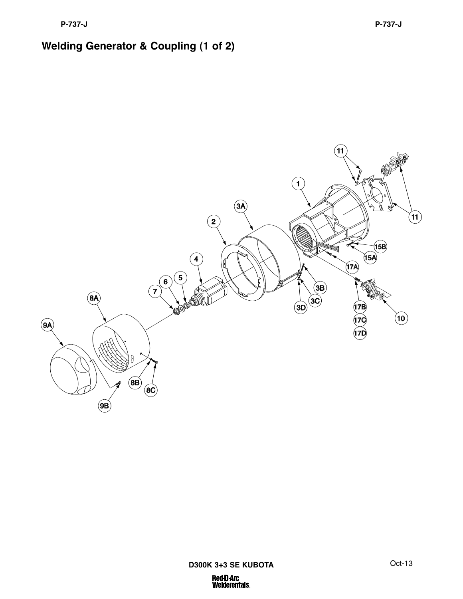# **Welding Generator & Coupling (1 of 2)**

![](_page_17_Figure_3.jpeg)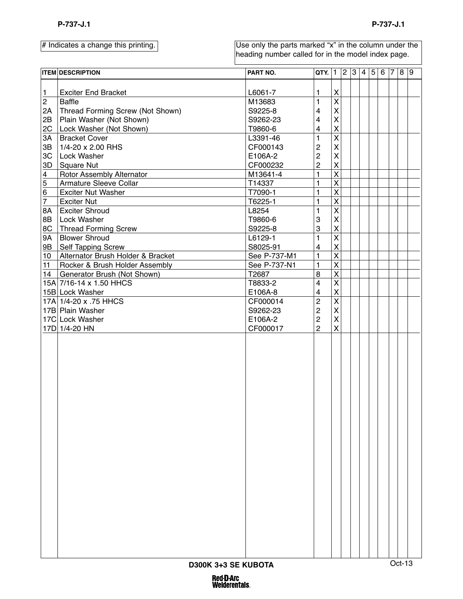|                             | <b>ITEM DESCRIPTION</b>           | PART NO.     | QTY. 1 2 3 4 5          |                         |  |  | $6 \overline{7} \overline{8} \overline{9}$ |        |  |
|-----------------------------|-----------------------------------|--------------|-------------------------|-------------------------|--|--|--------------------------------------------|--------|--|
|                             |                                   |              |                         |                         |  |  |                                            |        |  |
| $\mathbf{1}$                | <b>Exciter End Bracket</b>        | L6061-7      | $\mathbf{1}$            | $\pmb{\mathsf{X}}$      |  |  |                                            |        |  |
| $\overline{2}$              | <b>Baffle</b>                     | M13683       | $\mathbf{1}$            | $\overline{\mathsf{x}}$ |  |  |                                            |        |  |
| 2A                          | Thread Forming Screw (Not Shown)  | S9225-8      | 4                       | $\overline{\mathsf{X}}$ |  |  |                                            |        |  |
| 2B                          | Plain Washer (Not Shown)          | S9262-23     | 4                       | $\mathsf{\overline{X}}$ |  |  |                                            |        |  |
| 2C                          | Lock Washer (Not Shown)           | T9860-6      | $\overline{\mathbf{4}}$ | $\overline{\mathsf{x}}$ |  |  |                                            |        |  |
| 3A                          | <b>Bracket Cover</b>              | L3391-46     | 1                       | $\overline{\mathsf{x}}$ |  |  |                                            |        |  |
| 3B                          | 1/4-20 x 2.00 RHS                 | CF000143     | $\mathbf{2}$            | $\overline{\mathsf{X}}$ |  |  |                                            |        |  |
| 3C                          | Lock Washer                       | E106A-2      | $\mathbf{2}$            | $\mathsf{\overline{X}}$ |  |  |                                            |        |  |
| 3D                          | <b>Square Nut</b>                 | CF000232     | $\overline{c}$          | $\overline{\mathsf{x}}$ |  |  |                                            |        |  |
| $\overline{4}$              | Rotor Assembly Alternator         | M13641-4     | $\mathbf{1}$            | $\overline{\mathsf{x}}$ |  |  |                                            |        |  |
| $\frac{5}{6}$ $\frac{6}{7}$ | Armature Sleeve Collar            | T14337       | $\mathbf{1}$            | $\overline{\mathsf{x}}$ |  |  |                                            |        |  |
|                             | <b>Exciter Nut Washer</b>         | T7090-1      | $\mathbf{1}$            | $\overline{\mathsf{x}}$ |  |  |                                            |        |  |
|                             | <b>Exciter Nut</b>                | T6225-1      | $\mathbf{1}$            | $\overline{\mathsf{x}}$ |  |  |                                            |        |  |
| 8A                          | <b>Exciter Shroud</b>             | L8254        | $\mathbf{1}$            | $\overline{\mathsf{x}}$ |  |  |                                            |        |  |
| 8B                          | Lock Washer                       | T9860-6      | 3                       | $\mathsf{\overline{X}}$ |  |  |                                            |        |  |
| 8C                          | <b>Thread Forming Screw</b>       | S9225-8      | 3                       | $\overline{\mathsf{x}}$ |  |  |                                            |        |  |
| 9A                          | <b>Blower Shroud</b>              | L6129-1      | $\mathbf{1}$            | $\overline{\mathsf{x}}$ |  |  |                                            |        |  |
| 9B                          | Self Tapping Screw                | S8025-91     | 4                       | $\overline{\mathsf{X}}$ |  |  |                                            |        |  |
| 10 <sub>1</sub>             | Alternator Brush Holder & Bracket | See P-737-M1 | $\mathbf{1}$            | $\overline{\mathsf{x}}$ |  |  |                                            |        |  |
| 11                          | Rocker & Brush Holder Assembly    | See P-737-N1 | $\mathbf{1}$            | $\overline{\mathsf{x}}$ |  |  |                                            |        |  |
| 14                          | Generator Brush (Not Shown)       | T2687        | 8                       | $\overline{\mathsf{x}}$ |  |  |                                            |        |  |
|                             | 15A 7/16-14 x 1.50 HHCS           | T8833-2      | $\overline{4}$          | $\overline{\mathsf{x}}$ |  |  |                                            |        |  |
|                             | 15B Lock Washer                   | E106A-8      | $\overline{4}$          | $\overline{\mathsf{X}}$ |  |  |                                            |        |  |
|                             | 17A 1/4-20 x .75 HHCS             | CF000014     | $\overline{c}$          | $\overline{\mathsf{x}}$ |  |  |                                            |        |  |
|                             | 17B Plain Washer                  | S9262-23     | $\overline{c}$          | $\overline{\mathsf{X}}$ |  |  |                                            |        |  |
|                             | 17C Lock Washer                   | E106A-2      | $\overline{c}$          | $\overline{\mathsf{X}}$ |  |  |                                            |        |  |
|                             | 17D 1/4-20 HN                     | CF000017     | $\overline{2}$          | $\overline{\mathsf{X}}$ |  |  |                                            |        |  |
|                             |                                   |              |                         |                         |  |  |                                            |        |  |
|                             |                                   |              |                         |                         |  |  |                                            |        |  |
|                             |                                   |              |                         |                         |  |  |                                            |        |  |
|                             |                                   |              |                         |                         |  |  |                                            |        |  |
|                             |                                   |              |                         |                         |  |  |                                            |        |  |
|                             |                                   |              |                         |                         |  |  |                                            |        |  |
|                             |                                   |              |                         |                         |  |  |                                            |        |  |
|                             |                                   |              |                         |                         |  |  |                                            |        |  |
|                             |                                   |              |                         |                         |  |  |                                            |        |  |
|                             |                                   |              |                         |                         |  |  |                                            |        |  |
|                             |                                   |              |                         |                         |  |  |                                            |        |  |
|                             |                                   |              |                         |                         |  |  |                                            |        |  |
|                             |                                   |              |                         |                         |  |  |                                            |        |  |
|                             |                                   |              |                         |                         |  |  |                                            |        |  |
|                             |                                   |              |                         |                         |  |  |                                            |        |  |
|                             |                                   |              |                         |                         |  |  |                                            |        |  |
|                             |                                   |              |                         |                         |  |  |                                            |        |  |
|                             |                                   |              |                         |                         |  |  |                                            |        |  |
|                             |                                   |              |                         |                         |  |  |                                            |        |  |
|                             |                                   |              |                         |                         |  |  |                                            |        |  |
|                             |                                   |              |                         |                         |  |  |                                            |        |  |
|                             |                                   |              |                         |                         |  |  |                                            |        |  |
|                             |                                   |              |                         |                         |  |  |                                            |        |  |
|                             |                                   |              |                         |                         |  |  |                                            |        |  |
|                             |                                   |              |                         |                         |  |  |                                            |        |  |
|                             |                                   |              |                         |                         |  |  |                                            |        |  |
|                             | D300K 3+3 SE KUBOTA               |              |                         |                         |  |  |                                            | Oct-13 |  |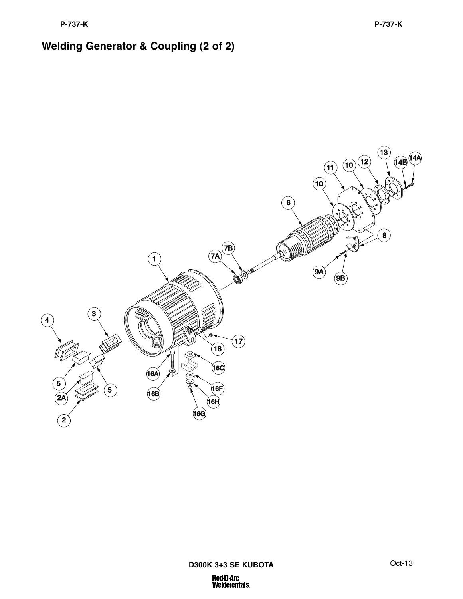# **Welding Generator & Coupling (2 of 2)**

![](_page_19_Figure_3.jpeg)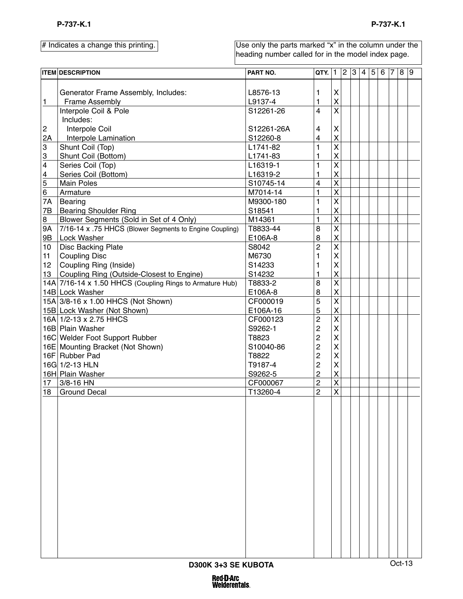|                         | <b>ITEM DESCRIPTION</b>                                  | PART NO.   | QTY.           | $\mathbf{1}$              | $ 2\rangle$ | 3 | $4 \overline{5}$ | 6 | 7 | 8 9    |  |
|-------------------------|----------------------------------------------------------|------------|----------------|---------------------------|-------------|---|------------------|---|---|--------|--|
|                         |                                                          |            |                |                           |             |   |                  |   |   |        |  |
|                         | Generator Frame Assembly, Includes:                      | L8576-13   | 1              | X                         |             |   |                  |   |   |        |  |
| $\mathbf{1}$            | Frame Assembly                                           | L9137-4    | 1              | $\pmb{\mathsf{X}}$        |             |   |                  |   |   |        |  |
|                         | Interpole Coil & Pole                                    | S12261-26  | 4              | $\overline{\mathsf{x}}$   |             |   |                  |   |   |        |  |
|                         | Includes:                                                |            |                |                           |             |   |                  |   |   |        |  |
| $\overline{c}$          | Interpole Coil                                           | S12261-26A | 4              | X                         |             |   |                  |   |   |        |  |
| 2A                      | Interpole Lamination                                     | S12260-8   | 4              | $\pmb{\mathsf{X}}$        |             |   |                  |   |   |        |  |
| 3                       | Shunt Coil (Top)                                         | L1741-82   | 1              | $\overline{\mathsf{x}}$   |             |   |                  |   |   |        |  |
| $\overline{3}$          | Shunt Coil (Bottom)                                      | L1741-83   | 1              | $\pmb{\mathsf{X}}$        |             |   |                  |   |   |        |  |
| $\overline{\mathbf{4}}$ | Series Coil (Top)                                        | L16319-1   | 1              | $\overline{\mathsf{x}}$   |             |   |                  |   |   |        |  |
|                         | Series Coil (Bottom)                                     | L16319-2   | 1              | $\pmb{\mathsf{X}}$        |             |   |                  |   |   |        |  |
| $\frac{4}{5}$           | <b>Main Poles</b>                                        | S10745-14  | 4              | $\overline{\mathsf{x}}$   |             |   |                  |   |   |        |  |
| 6                       | Armature                                                 | M7014-14   | 1              | $\mathsf{X}$              |             |   |                  |   |   |        |  |
| 7A                      | Bearing                                                  | M9300-180  | 1              | $\overline{\mathsf{X}}$   |             |   |                  |   |   |        |  |
| 7B                      | <b>Bearing Shoulder Ring</b>                             | S18541     | 1              | $\mathsf{X}$              |             |   |                  |   |   |        |  |
| 8                       | Blower Segments (Sold in Set of 4 Only)                  | M14361     | $\mathbf{1}$   | $\overline{\mathsf{x}}$   |             |   |                  |   |   |        |  |
| 9A                      | 7/16-14 x .75 HHCS (Blower Segments to Engine Coupling)  | T8833-44   | 8              | $\overline{\mathsf{X}}$   |             |   |                  |   |   |        |  |
| 9B                      | Lock Washer                                              | E106A-8    | 8              | $\pmb{\mathsf{X}}$        |             |   |                  |   |   |        |  |
| 10                      | Disc Backing Plate                                       | S8042      | $\overline{c}$ | $\overline{\mathsf{x}}$   |             |   |                  |   |   |        |  |
| 11                      | <b>Coupling Disc</b>                                     | M6730      | 1              | X                         |             |   |                  |   |   |        |  |
| 12                      | Coupling Ring (Inside)                                   | S14233     | 1              | $\boldsymbol{\mathsf{X}}$ |             |   |                  |   |   |        |  |
| 13                      | Coupling Ring (Outside-Closest to Engine)                | S14232     | 1              | $\boldsymbol{\mathsf{X}}$ |             |   |                  |   |   |        |  |
|                         | 14A 7/16-14 x 1.50 HHCS (Coupling Rings to Armature Hub) | T8833-2    | 8              | $\overline{\mathsf{x}}$   |             |   |                  |   |   |        |  |
|                         | 14B Lock Washer                                          | E106A-8    | $\bf 8$        | $\pmb{\mathsf{X}}$        |             |   |                  |   |   |        |  |
|                         | 15A 3/8-16 x 1.00 HHCS (Not Shown)                       | CF000019   | 5              | $\overline{\mathsf{x}}$   |             |   |                  |   |   |        |  |
|                         | 15B Lock Washer (Not Shown)                              | E106A-16   | 5              | $\pmb{\mathsf{X}}$        |             |   |                  |   |   |        |  |
|                         | 16A 1/2-13 x 2.75 HHCS                                   | CF000123   | $\overline{c}$ | $\overline{\mathsf{x}}$   |             |   |                  |   |   |        |  |
|                         | 16B Plain Washer                                         | S9262-1    | 2              | $\mathsf{X}$              |             |   |                  |   |   |        |  |
|                         | 16C Welder Foot Support Rubber                           | T8823      | 2              | $\boldsymbol{\mathsf{X}}$ |             |   |                  |   |   |        |  |
|                         | 16E Mounting Bracket (Not Shown)                         | S10040-86  | 2              | $\boldsymbol{\mathsf{X}}$ |             |   |                  |   |   |        |  |
|                         | 16F Rubber Pad                                           | T8822      | 2              | X                         |             |   |                  |   |   |        |  |
|                         | 16G 1/2-13 HLN                                           | T9187-4    | $\overline{c}$ | $\boldsymbol{\mathsf{X}}$ |             |   |                  |   |   |        |  |
|                         | 16H Plain Washer                                         | S9262-5    | $\overline{c}$ | $\mathsf{X}$              |             |   |                  |   |   |        |  |
| 17                      | 3/8-16 HN                                                | CF000067   | $\mathbf{2}$   | $\overline{\mathsf{x}}$   |             |   |                  |   |   |        |  |
| 18                      | <b>Ground Decal</b>                                      | T13260-4   | $\overline{c}$ | $\pmb{\mathsf{X}}$        |             |   |                  |   |   |        |  |
|                         |                                                          |            |                |                           |             |   |                  |   |   |        |  |
|                         |                                                          |            |                |                           |             |   |                  |   |   |        |  |
|                         |                                                          |            |                |                           |             |   |                  |   |   |        |  |
|                         |                                                          |            |                |                           |             |   |                  |   |   |        |  |
|                         |                                                          |            |                |                           |             |   |                  |   |   |        |  |
|                         |                                                          |            |                |                           |             |   |                  |   |   |        |  |
|                         |                                                          |            |                |                           |             |   |                  |   |   |        |  |
|                         |                                                          |            |                |                           |             |   |                  |   |   |        |  |
|                         |                                                          |            |                |                           |             |   |                  |   |   |        |  |
|                         |                                                          |            |                |                           |             |   |                  |   |   |        |  |
|                         |                                                          |            |                |                           |             |   |                  |   |   |        |  |
|                         |                                                          |            |                |                           |             |   |                  |   |   |        |  |
|                         |                                                          |            |                |                           |             |   |                  |   |   |        |  |
|                         |                                                          |            |                |                           |             |   |                  |   |   |        |  |
|                         |                                                          |            |                |                           |             |   |                  |   |   |        |  |
|                         |                                                          |            |                |                           |             |   |                  |   |   |        |  |
|                         |                                                          |            |                |                           |             |   |                  |   |   |        |  |
|                         | D300K 3+3 SE KUBOTA                                      |            |                |                           |             |   |                  |   |   | Oct-13 |  |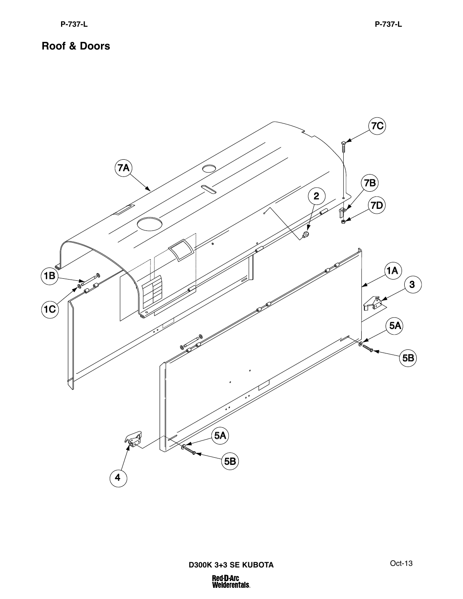![](_page_21_Figure_2.jpeg)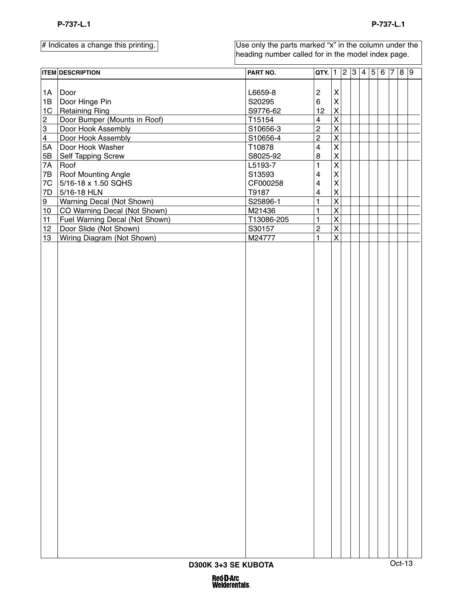|                             | <b>ITEM DESCRIPTION</b>          | PART NO.   | <b>QTY.</b> $ 1 2 3 4 5 $ |                           |  |  | $6 \overline{7} \overline{8} \overline{9}$ |          |  |
|-----------------------------|----------------------------------|------------|---------------------------|---------------------------|--|--|--------------------------------------------|----------|--|
|                             |                                  |            |                           |                           |  |  |                                            |          |  |
| 1A                          | Door                             | L6659-8    | 2                         | $\boldsymbol{\mathsf{X}}$ |  |  |                                            |          |  |
| 1B                          | Door Hinge Pin                   | S20295     | 6                         | $\mathsf{\mathsf{X}}$     |  |  |                                            |          |  |
| 1C                          | <b>Retaining Ring</b>            | S9776-62   | 12                        | $\mathsf{X}$              |  |  |                                            |          |  |
|                             | Door Bumper (Mounts in Roof)     | T15154     | $\overline{\mathbf{4}}$   | $\overline{\mathsf{x}}$   |  |  |                                            |          |  |
|                             | Door Hook Assembly               | S10656-3   | $\overline{\mathbf{c}}$   | $\overline{\mathsf{x}}$   |  |  |                                            |          |  |
| $\frac{2}{3}$ $\frac{4}{3}$ | Door Hook Assembly               | S10656-4   | $\overline{2}$            | $\overline{\mathsf{x}}$   |  |  |                                            |          |  |
| $\overline{5A}$             | Door Hook Washer                 | T10878     | $\overline{\mathbf{4}}$   | $\overline{\mathsf{x}}$   |  |  |                                            |          |  |
| $\underline{\mathsf{5B}}$   | <b>Self Tapping Screw</b>        | S8025-92   | 8                         | $\mathsf{\overline{X}}$   |  |  |                                            |          |  |
| 7A                          | Roof                             | L5193-7    | $\mathbf{1}$              | $\overline{\mathsf{x}}$   |  |  |                                            |          |  |
| 7B                          | Roof Mounting Angle              | S13593     | 4                         | $\boldsymbol{\mathsf{X}}$ |  |  |                                            |          |  |
| 7C                          | 5/16-18 x 1.50 SQHS              | CF000258   | 4                         | $\mathsf{x}$              |  |  |                                            |          |  |
| 7D                          | 5/16-18 HLN                      | T9187      | $\overline{\mathbf{4}}$   | $\mathsf{\overline{X}}$   |  |  |                                            |          |  |
| 9                           | <b>Warning Decal (Not Shown)</b> | S25896-1   | 1                         | $\overline{\mathsf{x}}$   |  |  |                                            |          |  |
| $10$                        | CO Warning Decal (Not Shown)     | M21436     | 1                         | $\overline{\mathsf{x}}$   |  |  |                                            |          |  |
| 11                          | Fuel Warning Decal (Not Shown)   | T13086-205 | $\mathbf{1}$              | $\overline{\mathsf{x}}$   |  |  |                                            |          |  |
| 12                          | Door Slide (Not Shown)           | S30157     | $\overline{\mathbf{c}}$   | $\overline{\mathsf{x}}$   |  |  |                                            |          |  |
| 13                          | Wiring Diagram (Not Shown)       | M24777     | $\mathbf{1}$              | $\overline{\mathsf{x}}$   |  |  |                                            |          |  |
|                             |                                  |            |                           |                           |  |  |                                            |          |  |
|                             |                                  |            |                           |                           |  |  |                                            |          |  |
|                             |                                  |            |                           |                           |  |  |                                            |          |  |
|                             |                                  |            |                           |                           |  |  |                                            |          |  |
|                             |                                  |            |                           |                           |  |  |                                            |          |  |
|                             |                                  |            |                           |                           |  |  |                                            |          |  |
|                             |                                  |            |                           |                           |  |  |                                            |          |  |
|                             |                                  |            |                           |                           |  |  |                                            |          |  |
|                             |                                  |            |                           |                           |  |  |                                            |          |  |
|                             |                                  |            |                           |                           |  |  |                                            |          |  |
|                             |                                  |            |                           |                           |  |  |                                            |          |  |
|                             |                                  |            |                           |                           |  |  |                                            |          |  |
|                             |                                  |            |                           |                           |  |  |                                            |          |  |
|                             |                                  |            |                           |                           |  |  |                                            |          |  |
|                             |                                  |            |                           |                           |  |  |                                            |          |  |
|                             |                                  |            |                           |                           |  |  |                                            |          |  |
|                             |                                  |            |                           |                           |  |  |                                            |          |  |
|                             |                                  |            |                           |                           |  |  |                                            |          |  |
|                             |                                  |            |                           |                           |  |  |                                            |          |  |
|                             |                                  |            |                           |                           |  |  |                                            |          |  |
|                             |                                  |            |                           |                           |  |  |                                            |          |  |
|                             | D300K 3+3 SE KUBOTA              |            |                           |                           |  |  |                                            | $Oct-13$ |  |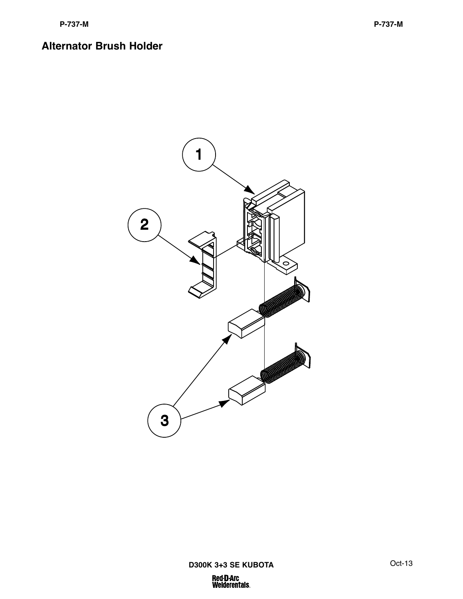#### **Alternator Brush Holder**

![](_page_23_Picture_2.jpeg)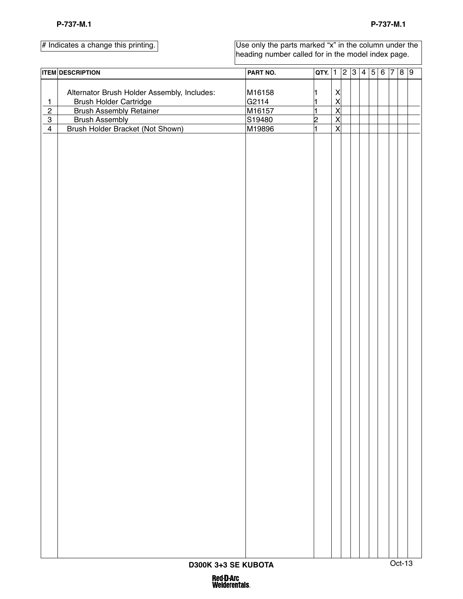Use only the parts marked "x" in the column under the heading number called for in the model index page.

|                               | <b>ITEM DESCRIPTION</b>                     | PART NO. | $QTY.$ 1       |                         |  |  |  |  | 23456789 |  |  |
|-------------------------------|---------------------------------------------|----------|----------------|-------------------------|--|--|--|--|----------|--|--|
|                               |                                             |          |                |                         |  |  |  |  |          |  |  |
|                               | Alternator Brush Holder Assembly, Includes: | M16158   | 1              | X                       |  |  |  |  |          |  |  |
| $\overline{1}$                | <b>Brush Holder Cartridge</b>               | G2114    | 1              | $\overline{\mathsf{X}}$ |  |  |  |  |          |  |  |
| $\overline{2}$                | <b>Brush Assembly Retainer</b>              | M16157   | 1              | $\overline{\mathsf{x}}$ |  |  |  |  |          |  |  |
| $\overline{3}$                | <b>Brush Assembly</b>                       | S19480   | $\overline{2}$ | $\overline{\mathsf{X}}$ |  |  |  |  |          |  |  |
| $\overline{4}$                | Brush Holder Bracket (Not Shown)            | M19896   | ł.             | $\overline{\mathsf{x}}$ |  |  |  |  |          |  |  |
|                               |                                             |          |                |                         |  |  |  |  |          |  |  |
|                               |                                             |          |                |                         |  |  |  |  |          |  |  |
|                               |                                             |          |                |                         |  |  |  |  |          |  |  |
|                               |                                             |          |                |                         |  |  |  |  |          |  |  |
|                               |                                             |          |                |                         |  |  |  |  |          |  |  |
|                               |                                             |          |                |                         |  |  |  |  |          |  |  |
|                               |                                             |          |                |                         |  |  |  |  |          |  |  |
|                               |                                             |          |                |                         |  |  |  |  |          |  |  |
|                               |                                             |          |                |                         |  |  |  |  |          |  |  |
|                               |                                             |          |                |                         |  |  |  |  |          |  |  |
|                               |                                             |          |                |                         |  |  |  |  |          |  |  |
|                               |                                             |          |                |                         |  |  |  |  |          |  |  |
|                               |                                             |          |                |                         |  |  |  |  |          |  |  |
|                               |                                             |          |                |                         |  |  |  |  |          |  |  |
|                               |                                             |          |                |                         |  |  |  |  |          |  |  |
|                               |                                             |          |                |                         |  |  |  |  |          |  |  |
|                               |                                             |          |                |                         |  |  |  |  |          |  |  |
|                               |                                             |          |                |                         |  |  |  |  |          |  |  |
|                               |                                             |          |                |                         |  |  |  |  |          |  |  |
|                               |                                             |          |                |                         |  |  |  |  |          |  |  |
|                               |                                             |          |                |                         |  |  |  |  |          |  |  |
|                               |                                             |          |                |                         |  |  |  |  |          |  |  |
|                               |                                             |          |                |                         |  |  |  |  |          |  |  |
|                               |                                             |          |                |                         |  |  |  |  |          |  |  |
|                               |                                             |          |                |                         |  |  |  |  |          |  |  |
|                               |                                             |          |                |                         |  |  |  |  |          |  |  |
|                               |                                             |          |                |                         |  |  |  |  |          |  |  |
|                               |                                             |          |                |                         |  |  |  |  |          |  |  |
|                               |                                             |          |                |                         |  |  |  |  |          |  |  |
|                               |                                             |          |                |                         |  |  |  |  |          |  |  |
|                               |                                             |          |                |                         |  |  |  |  |          |  |  |
|                               |                                             |          |                |                         |  |  |  |  |          |  |  |
|                               |                                             |          |                |                         |  |  |  |  |          |  |  |
|                               |                                             |          |                |                         |  |  |  |  |          |  |  |
|                               |                                             |          |                |                         |  |  |  |  |          |  |  |
|                               |                                             |          |                |                         |  |  |  |  |          |  |  |
|                               |                                             |          |                |                         |  |  |  |  |          |  |  |
|                               |                                             |          |                |                         |  |  |  |  |          |  |  |
|                               |                                             |          |                |                         |  |  |  |  |          |  |  |
|                               |                                             |          |                |                         |  |  |  |  |          |  |  |
|                               |                                             |          |                |                         |  |  |  |  |          |  |  |
|                               |                                             |          |                |                         |  |  |  |  |          |  |  |
|                               |                                             |          |                |                         |  |  |  |  |          |  |  |
|                               |                                             |          |                |                         |  |  |  |  |          |  |  |
|                               |                                             |          |                |                         |  |  |  |  |          |  |  |
|                               |                                             |          |                |                         |  |  |  |  |          |  |  |
| Oct-13<br>D300K 3+3 SE KUBOTA |                                             |          |                |                         |  |  |  |  |          |  |  |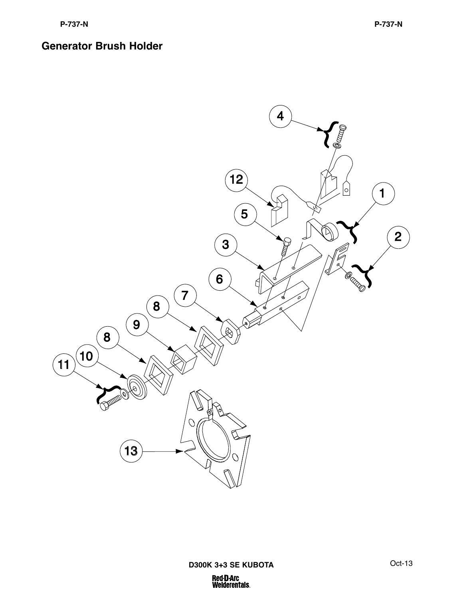![](_page_25_Picture_3.jpeg)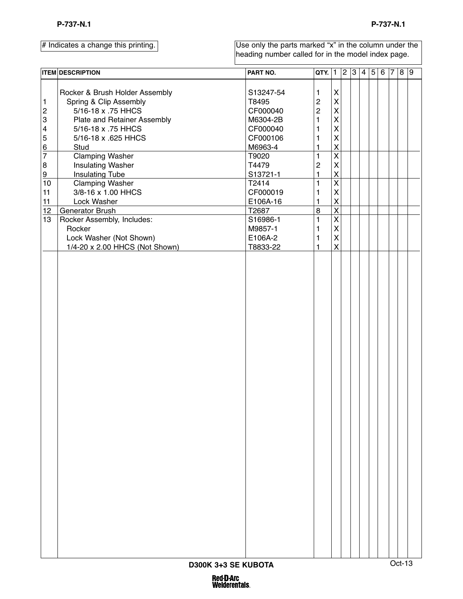|                  | <b>ITEM DESCRIPTION</b>        | PART NO.  | QTY. 1 2 3 4 5   |                         |  |  | $6 \vert 7 \vert$ |        | 8 9 |  |
|------------------|--------------------------------|-----------|------------------|-------------------------|--|--|-------------------|--------|-----|--|
|                  |                                |           |                  |                         |  |  |                   |        |     |  |
|                  | Rocker & Brush Holder Assembly | S13247-54 | 1                | $\pmb{\mathsf{X}}$      |  |  |                   |        |     |  |
| $\mathbf{1}$     | Spring & Clip Assembly         | T8495     | $\boldsymbol{2}$ | $\mathsf{X}$            |  |  |                   |        |     |  |
| $\overline{c}$   | 5/16-18 x .75 HHCS             | CF000040  | $\overline{2}$   | $\mathsf{X}$            |  |  |                   |        |     |  |
| 3                | Plate and Retainer Assembly    | M6304-2B  | 1                | $\mathsf{X}$            |  |  |                   |        |     |  |
| 4                | 5/16-18 x .75 HHCS             | CF000040  | 1                | $\mathsf{X}$            |  |  |                   |        |     |  |
| 5                | 5/16-18 x .625 HHCS            | CF000106  | $\mathbf{1}$     | $\mathsf{X}$            |  |  |                   |        |     |  |
| $\underline{6}$  | Stud                           | M6963-4   | $\mathbf{1}$     | $\mathsf{X}$            |  |  |                   |        |     |  |
| $\overline{7}$   | <b>Clamping Washer</b>         | T9020     | 1                | $\overline{\mathsf{X}}$ |  |  |                   |        |     |  |
| $\boldsymbol{8}$ | <b>Insulating Washer</b>       | T4479     | $\mathbf 2$      | $\mathsf{X}$            |  |  |                   |        |     |  |
| 9                | <b>Insulating Tube</b>         | S13721-1  | $\mathbf{1}$     | $\mathsf{X}$            |  |  |                   |        |     |  |
| 10               | <b>Clamping Washer</b>         | T2414     | 1                | $\overline{\mathsf{X}}$ |  |  |                   |        |     |  |
| 11               | 3/8-16 x 1.00 HHCS             | CF000019  | 1                | $\mathsf{X}$            |  |  |                   |        |     |  |
| 11               | Lock Washer                    | E106A-16  | $\mathbf{1}$     | $\overline{\mathsf{X}}$ |  |  |                   |        |     |  |
| 12               | Generator Brush                | T2687     | $\bf 8$          | $\overline{\mathsf{x}}$ |  |  |                   |        |     |  |
| 13               | Rocker Assembly, Includes:     | S16986-1  | $\mathbf{1}$     | $\overline{\mathsf{X}}$ |  |  |                   |        |     |  |
|                  | Rocker                         | M9857-1   | 1                | $\mathsf{X}$            |  |  |                   |        |     |  |
|                  | Lock Washer (Not Shown)        | E106A-2   | $\mathbf{1}$     | $\mathsf{X}$            |  |  |                   |        |     |  |
|                  | 1/4-20 x 2.00 HHCS (Not Shown) | T8833-22  | 1                | $\mathsf{X}$            |  |  |                   |        |     |  |
|                  |                                |           |                  |                         |  |  |                   |        |     |  |
|                  |                                |           |                  |                         |  |  |                   |        |     |  |
|                  |                                |           |                  |                         |  |  |                   |        |     |  |
|                  |                                |           |                  |                         |  |  |                   |        |     |  |
|                  |                                |           |                  |                         |  |  |                   |        |     |  |
|                  |                                |           |                  |                         |  |  |                   |        |     |  |
|                  |                                |           |                  |                         |  |  |                   |        |     |  |
|                  |                                |           |                  |                         |  |  |                   |        |     |  |
|                  |                                |           |                  |                         |  |  |                   |        |     |  |
|                  |                                |           |                  |                         |  |  |                   |        |     |  |
|                  |                                |           |                  |                         |  |  |                   |        |     |  |
|                  |                                |           |                  |                         |  |  |                   |        |     |  |
|                  |                                |           |                  |                         |  |  |                   |        |     |  |
|                  |                                |           |                  |                         |  |  |                   |        |     |  |
|                  |                                |           |                  |                         |  |  |                   |        |     |  |
|                  |                                |           |                  |                         |  |  |                   |        |     |  |
|                  | D300K 3+3 SE KUBOTA            |           |                  |                         |  |  |                   | Oct-13 |     |  |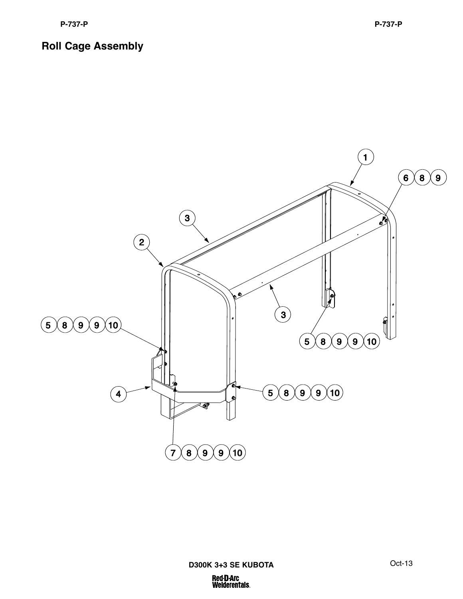![](_page_27_Figure_2.jpeg)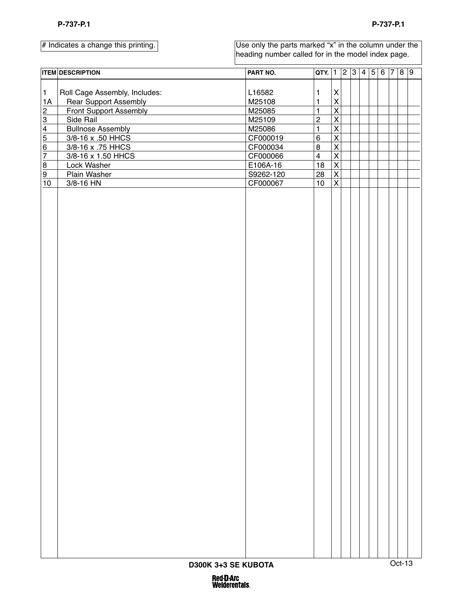|                             | <b>ITEM DESCRIPTION</b>       | PART NO.         | $QTY.$ 1                |                                                    |  | $\sqrt{2}$ 3 4 5 |  | 6 7 8 9 |  |
|-----------------------------|-------------------------------|------------------|-------------------------|----------------------------------------------------|--|------------------|--|---------|--|
| $\mathbf{1}$                | Roll Cage Assembly, Includes: |                  |                         | $\pmb{\mathsf{X}}$                                 |  |                  |  |         |  |
| 1A                          |                               | L16582<br>M25108 | 1<br>$\mathbf{1}$       | $\overline{\mathsf{X}}$                            |  |                  |  |         |  |
|                             | <b>Rear Support Assembly</b>  |                  | $\mathbf{1}$            | $\overline{\mathsf{x}}$                            |  |                  |  |         |  |
| $\frac{2}{3}$               | <b>Front Support Assembly</b> | M25085           |                         |                                                    |  |                  |  |         |  |
|                             | Side Rail                     | M25109           | $\overline{c}$          | $\overline{\mathsf{x}}$                            |  |                  |  |         |  |
| $\frac{4}{5}$ $\frac{6}{7}$ | <b>Bullnose Assembly</b>      | M25086           | $\mathbf{1}$            | $\overline{\mathsf{x}}$                            |  |                  |  |         |  |
|                             | 3/8-16 x .50 HHCS             | CF000019         | $\,6$                   | $\overline{\mathsf{x}}$                            |  |                  |  |         |  |
|                             | 3/8-16 x .75 HHCS             | CF000034         | 8                       | $\overline{\mathsf{x}}$                            |  |                  |  |         |  |
|                             | 3/8-16 x 1.50 HHCS            | CF000066         | $\overline{\mathbf{4}}$ | $\overline{\mathsf{X}}$                            |  |                  |  |         |  |
| 8                           | Lock Washer                   | E106A-16         | 18                      | $\overline{\mathsf{X}}$                            |  |                  |  |         |  |
| 9<br>10                     | Plain Washer<br>3/8-16 HN     | S9262-120        | 28<br>10                | $\overline{\mathsf{X}}$<br>$\overline{\mathsf{x}}$ |  |                  |  |         |  |
|                             |                               | CF000067         |                         |                                                    |  |                  |  |         |  |
|                             | D300K 3+3 SE KUBOTA           |                  |                         |                                                    |  |                  |  | Oct-13  |  |